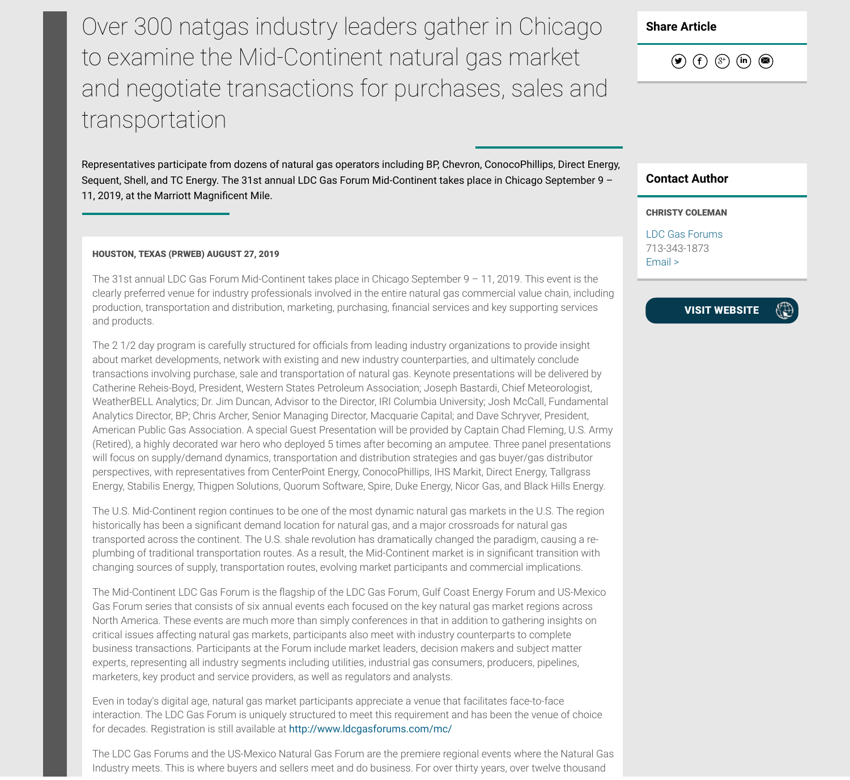Over 300 natgas industry leaders gather in Chicago to examine the Mid-Continent natural gas market and negotiate transactions for purchases, sales and transportation

Representatives participate from dozens of natural gas operators including BP, Chevron, ConocoPhillips, Direct Energy, Sequent, Shell, and TC Energy. The 31st annual LDC Gas Forum Mid-Continent takes place in Chicago September 9 – 11, 2019, at the Marriott Magnificent Mile.

## HOUSTON, TEXAS (PRWEB) AUGUST 27, 2019

The 31st annual LDC Gas Forum Mid-Continent takes place in Chicago September 9 – 11, 2019. This event is the clearly preferred venue for industry professionals involved in the entire natural gas commercial value chain, including production, transportation and distribution, marketing, purchasing, nancial services and key supporting services and products.

The 2 1/2 day program is carefully structured for officials from leading industry organizations to provide insight about market developments, network with existing and new industry counterparties, and ultimately conclude transactions involving purchase, sale and transportation of natural gas. Keynote presentations will be delivered by Catherine Reheis-Boyd, President, Western States Petroleum Association; Joseph Bastardi, Chief Meteorologist, WeatherBELL Analytics; Dr. Jim Duncan, Advisor to the Director, IRI Columbia University; Josh McCall, Fundamental Analytics Director, BP; Chris Archer, Senior Managing Director, Macquarie Capital; and Dave Schryver, President, American Public Gas Association. A special Guest Presentation will be provided by Captain Chad Fleming, U.S. Army (Retired), a highly decorated war hero who deployed 5 times after becoming an amputee. Three panel presentations will focus on supply/demand dynamics, transportation and distribution strategies and gas buyer/gas distributor perspectives, with representatives from CenterPoint Energy, ConocoPhillips, IHS Markit, Direct Energy, Tallgrass Energy, Stabilis Energy, Thigpen Solutions, Quorum Software, Spire, Duke Energy, Nicor Gas, and Black Hills Energy.

The U.S. Mid-Continent region continues to be one of the most dynamic natural gas markets in the U.S. The region historically has been a significant demand location for natural gas, and a major crossroads for natural gas transported across the continent. The U.S. shale revolution has dramatically changed the paradigm, causing a replumbing of traditional transportation routes. As a result, the Mid-Continent market is in significant transition with changing sources of supply, transportation routes, evolving market participants and commercial implications.

The Mid-Continent LDC Gas Forum is the flagship of the LDC Gas Forum, Gulf Coast Energy Forum and US-Mexico Gas Forum series that consists of six annual events each focused on the key natural gas market regions across North America. These events are much more than simply conferences in that in addition to gathering insights on critical issues affecting natural gas markets, participants also meet with industry counterparts to complete business transactions. Participants at the Forum include market leaders, decision makers and subject matter experts, representing all industry segments including utilities, industrial gas consumers, producers, pipelines, marketers, key product and service providers, as well as regulators and analysts.

Even in today's digital age, natural gas market participants appreciate a venue that facilitates face-to-face interaction. The LDC Gas Forum is uniquely structured to meet this requirement and has been the venue of choice for decades. Registration is still available at http://www.ldcgasforums.com/mc/

The LDC Gas Forums and the US-Mexico Natural Gas Forum are the premiere regional events where the Natural Gas Industry meets. This is where buyers and sellers meet and do business. For over thirty years, over twelve thousand

Share Article

 $\begin{array}{ccc} \textcircled{\footnotesize{136}} & \textcircled{\footnotesize{136}} & \textcircled{\footnotesize{136}} & \textcircled{\footnotesize{136}}\\ \textcircled{\footnotesize{136}} & \textcircled{\footnotesize{136}} & \textcircled{\footnotesize{136}} & \textcircled{\footnotesize{136}} & \textcircled{\footnotesize{136}}\\ \textcircled{\footnotesize{136}} & \textcircled{\footnotesize{136}} & \textcircled{\footnotesize{136}} & \textcircled{\footnotesize{136}} & \textcircled{\footnotesize{136}}\\ \textcircled{\footnotesize{136}} & \textcirc$ 

## Contact Author

## CHRISTY COLEMAN

LDC Gas Forums 713-343-1873 Email >

> VISIT WEBSITE $\oplus$